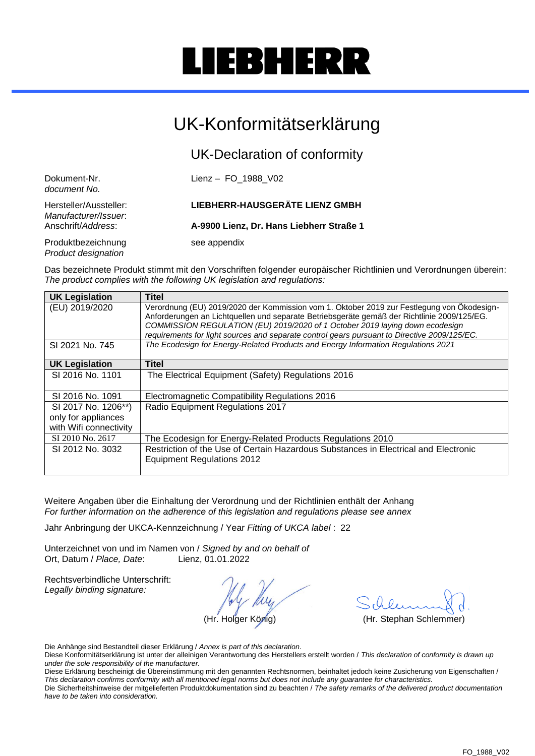# IEBHERR

### UK-Konformitätserklärung

UK-Declaration of conformity

| Dokument-Nr.<br>document No.                   | Lienz - FO 1988 V02                      |
|------------------------------------------------|------------------------------------------|
| Hersteller/Aussteller:<br>Manufacturer/Issuer. | <b>LIEBHERR-HAUSGERÄTE LIENZ GMBH</b>    |
| Anschrift/Address:                             | A-9900 Lienz, Dr. Hans Liebherr Straße 1 |
| Produktbezeichnung<br>Product designation      | see appendix                             |

Das bezeichnete Produkt stimmt mit den Vorschriften folgender europäischer Richtlinien und Verordnungen überein: *The product complies with the following UK legislation and regulations:*

| <b>UK Legislation</b>                                                | <b>Titel</b>                                                                                                                                                                                                                                                                                                                                                              |
|----------------------------------------------------------------------|---------------------------------------------------------------------------------------------------------------------------------------------------------------------------------------------------------------------------------------------------------------------------------------------------------------------------------------------------------------------------|
| (EU) 2019/2020                                                       | Verordnung (EU) 2019/2020 der Kommission vom 1. Oktober 2019 zur Festlegung von Ökodesign-<br>Anforderungen an Lichtquellen und separate Betriebsgeräte gemäß der Richtlinie 2009/125/EG.<br>COMMISSION REGULATION (EU) 2019/2020 of 1 October 2019 laying down ecodesign<br>requirements for light sources and separate control gears pursuant to Directive 2009/125/EC. |
| SI 2021 No. 745                                                      | The Ecodesign for Energy-Related Products and Energy Information Regulations 2021                                                                                                                                                                                                                                                                                         |
| <b>UK Legislation</b>                                                | <b>Titel</b>                                                                                                                                                                                                                                                                                                                                                              |
| SI 2016 No. 1101                                                     | The Electrical Equipment (Safety) Regulations 2016                                                                                                                                                                                                                                                                                                                        |
| SI 2016 No. 1091                                                     | Electromagnetic Compatibility Regulations 2016                                                                                                                                                                                                                                                                                                                            |
| SI 2017 No. 1206**)<br>only for appliances<br>with Wifi connectivity | Radio Equipment Regulations 2017                                                                                                                                                                                                                                                                                                                                          |
| SI 2010 No. 2617                                                     | The Ecodesign for Energy-Related Products Regulations 2010                                                                                                                                                                                                                                                                                                                |
| SI 2012 No. 3032                                                     | Restriction of the Use of Certain Hazardous Substances in Electrical and Electronic<br><b>Equipment Regulations 2012</b>                                                                                                                                                                                                                                                  |

Weitere Angaben über die Einhaltung der Verordnung und der Richtlinien enthält der Anhang *For further information on the adherence of this legislation and regulations please see annex*

Jahr Anbringung der UKCA-Kennzeichnung / Year *Fitting of UKCA label* : 22

Unterzeichnet von und im Namen von / *Signed by and on behalf of* Ort, Datum / *Place, Date*: Lienz, 01.01.2022

Rechtsverbindliche Unterschrift: *Legally binding signature:*

(Hr. Holger König) (Hr. Stephan Schlemmer)

Die Anhänge sind Bestandteil dieser Erklärung / *Annex is part of this declaration*.

Diese Konformitätserklärung ist unter der alleinigen Verantwortung des Herstellers erstellt worden / *This declaration of conformity is drawn up under the sole responsibility of the manufacturer.*

Diese Erklärung bescheinigt die Übereinstimmung mit den genannten Rechtsnormen, beinhaltet jedoch keine Zusicherung von Eigenschaften / *This declaration confirms conformity with all mentioned legal norms but does not include any guarantee for characteristics.*

Die Sicherheitshinweise der mitgelieferten Produktdokumentation sind zu beachten / *The safety remarks of the delivered product documentation have to be taken into consideration.*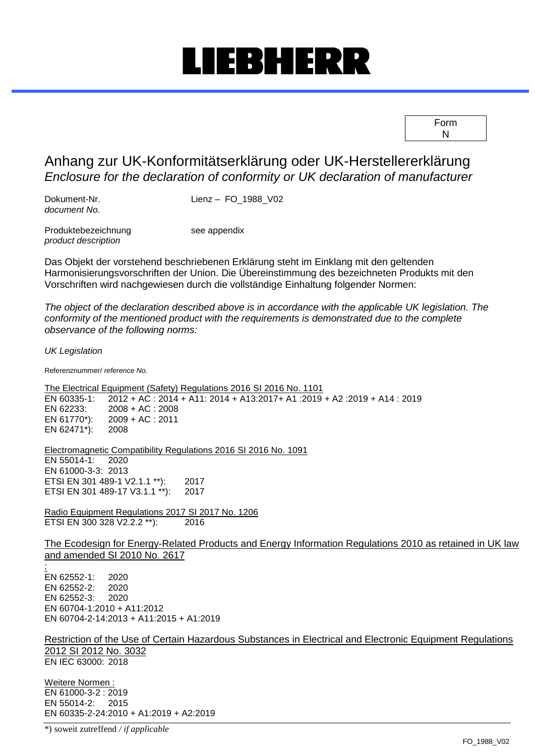### IEBHERR

| Form |  |
|------|--|
| N    |  |

#### Anhang zur UK-Konformitätserklärung oder UK-Herstellererklärung *Enclosure for the declaration of conformity or UK declaration of manufacturer*

Dokument-Nr. Lienz – FO\_1988\_V02 *document No.*

Produktebezeichnung see appendix *product description*

Das Objekt der vorstehend beschriebenen Erklärung steht im Einklang mit den geltenden Harmonisierungsvorschriften der Union. Die Übereinstimmung des bezeichneten Produkts mit den Vorschriften wird nachgewiesen durch die vollständige Einhaltung folgender Normen:

*The object of the declaration described above is in accordance with the applicable UK legislation. The conformity of the mentioned product with the requirements is demonstrated due to the complete observance of the following norms:*

*UK Legislation*

Referenznummer/ *reference No.*

The Electrical Equipment (Safety) Regulations 2016 SI 2016 No. 1101<br>EN 60335-1: 2012 + AC : 2014 + A11: 2014 + A13:2017+ A1 :2019 EN 60335-1: 2012 + AC : 2014 + A11: 2014 + A13:2017+ A1 :2019 + A2 :2019 + A14 : 2019 EN 62233: 2008 + AC : 2008 2009 + AC : 2011<br>2008 EN 62471 $^*$ ):

Electromagnetic Compatibility Regulations 2016 SI 2016 No. 1091 EN 55014-1: 2020 EN 61000-3-3: 2013 ETSI EN 301 489-1 V2.1.1 \*\*): 2017 ETSI EN 301 489-17 V3.1.1 \*\*): 2017

Radio Equipment Regulations 2017 SI 2017 No. 1206 ETSI EN 300 328 V2.2.2 \*\*): 2016

The Ecodesign for Energy-Related Products and Energy Information Regulations 2010 as retained in UK law and amended SI 2010 No. 2617

: EN 62552-1: 2020 EN 62552-2: 2020 EN 62552-3: 2020 EN 60704-1:2010 + A11:2012 EN 60704-2-14:2013 + A11:2015 + A1:2019

Restriction of the Use of Certain Hazardous Substances in Electrical and Electronic Equipment Regulations 2012 SI 2012 No. 3032 EN IEC 63000: 2018

Weitere Normen : EN 61000-3-2 : 2019 EN 55014-2: 2015 EN 60335-2-24:2010 + A1:2019 + A2:2019

\*) soweit zutreffend */ if applicable*